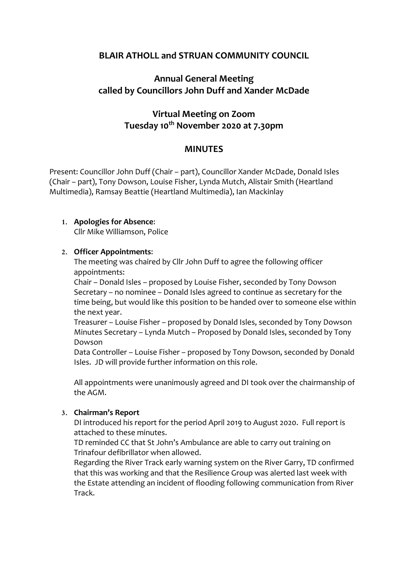## **BLAIR ATHOLL and STRUAN COMMUNITY COUNCIL**

# **Annual General Meeting called by Councillors John Duff and Xander McDade**

# **Virtual Meeting on Zoom Tuesday 10th November 2020 at 7.30pm**

## **MINUTES**

Present: Councillor John Duff (Chair – part), Councillor Xander McDade, Donald Isles (Chair – part), Tony Dowson, Louise Fisher, Lynda Mutch, Alistair Smith (Heartland Multimedia), Ramsay Beattie (Heartland Multimedia), Ian Mackinlay

#### **1. Apologies for Absence**:

Cllr Mike Williamson, Police

#### **2. Officer Appointments**:

The meeting was chaired by Cllr John Duff to agree the following officer appointments:

Chair – Donald Isles – proposed by Louise Fisher, seconded by Tony Dowson Secretary – no nominee – Donald Isles agreed to continue as secretary for the time being, but would like this position to be handed over to someone else within the next year.

Treasurer – Louise Fisher – proposed by Donald Isles, seconded by Tony Dowson Minutes Secretary – Lynda Mutch – Proposed by Donald Isles, seconded by Tony Dowson

Data Controller – Louise Fisher – proposed by Tony Dowson, seconded by Donald Isles. JD will provide further information on this role.

All appointments were unanimously agreed and DI took over the chairmanship of the AGM.

#### **3. Chairman's Report**

DI introduced his report for the period April 2019 to August 2020. Full report is attached to these minutes.

TD reminded CC that St John's Ambulance are able to carry out training on Trinafour defibrillator when allowed.

Regarding the River Track early warning system on the River Garry, TD confirmed that this was working and that the Resilience Group was alerted last week with the Estate attending an incident of flooding following communication from River Track.